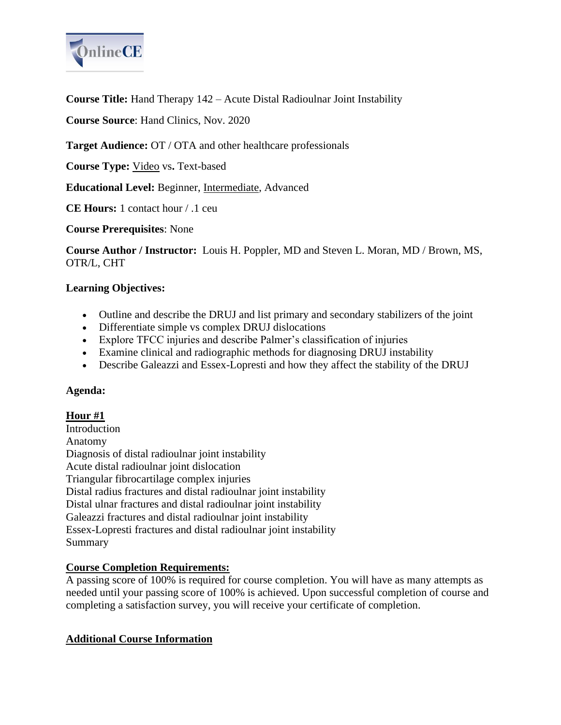

**Course Title:** Hand Therapy 142 – Acute Distal Radioulnar Joint Instability

**Course Source**: Hand Clinics, Nov. 2020

**Target Audience:** OT / OTA and other healthcare professionals

**Course Type:** Video vs**.** Text-based

**Educational Level:** Beginner, Intermediate, Advanced

**CE Hours:** 1 contact hour / .1 ceu

**Course Prerequisites**: None

**Course Author / Instructor:** Louis H. Poppler, MD and Steven L. Moran, MD / Brown, MS, OTR/L, CHT

### **Learning Objectives:**

- Outline and describe the DRUJ and list primary and secondary stabilizers of the joint
- Differentiate simple vs complex DRUJ dislocations
- Explore TFCC injuries and describe Palmer's classification of injuries
- Examine clinical and radiographic methods for diagnosing DRUJ instability
- Describe Galeazzi and Essex-Lopresti and how they affect the stability of the DRUJ

### **Agenda:**

# **Hour #1**

**Introduction** Anatomy Diagnosis of distal radioulnar joint instability Acute distal radioulnar joint dislocation Triangular fibrocartilage complex injuries Distal radius fractures and distal radioulnar joint instability Distal ulnar fractures and distal radioulnar joint instability Galeazzi fractures and distal radioulnar joint instability Essex-Lopresti fractures and distal radioulnar joint instability Summary

# **Course Completion Requirements:**

A passing score of 100% is required for course completion. You will have as many attempts as needed until your passing score of 100% is achieved. Upon successful completion of course and completing a satisfaction survey, you will receive your certificate of completion.

# **Additional Course Information**